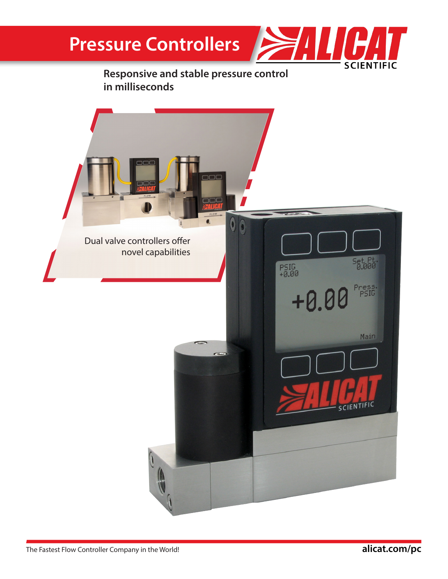## **Pressure Controllers**



#### **Responsive and stable pressure control in milliseconds**